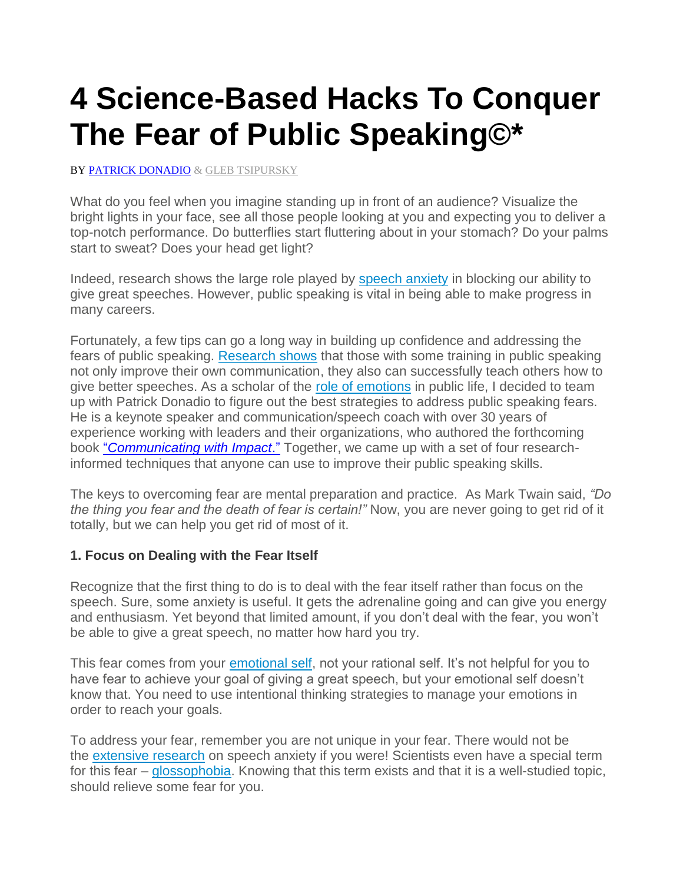# **4 Science-Based Hacks To Conquer The Fear of Public Speaking©\***

BY [PATRICK DONADIO](https://www.patrickdonadio.com/communication-presentation/) & GLEB TSIPURSKY

What do you feel when you imagine standing up in front of an audience? Visualize the bright lights in your face, see all those people looking at you and expecting you to deliver a top-notch performance. Do butterflies start fluttering about in your stomach? Do your palms start to sweat? Does your head get light?

Indeed, research shows the large role played by [speech anxiety](http://www.sciencedirect.com/science/article/pii/000579679400072R) in blocking our ability to give great speeches. However, public speaking is vital in being able to make progress in many careers.

Fortunately, a few tips can go a long way in building up confidence and addressing the fears of public speaking. [Research shows](https://www.academia.edu/5431076/Public_speaking_treatment._Trainer._trainee) that those with some training in public speaking not only improve their own communication, they also can successfully teach others how to give better speeches. As a scholar of the [role of emotions](http://intentionalinsights.org/trump-feels-your-anger-andanxiety-how-neuroscience-helps-explain-trump-triu) in public life, I decided to team up with Patrick Donadio to figure out the best strategies to address public speaking fears. He is a keynote speaker and communication/speech coach with over 30 years of experience working with leaders and their organizations, who authored the forthcoming book "*[Communicating with Impact](https://www.patrickdonadio.com/product/communicating-with-impact/)*." Together, we came up with a set of four researchinformed techniques that anyone can use to improve their public speaking skills.

The keys to overcoming fear are mental preparation and practice. As Mark Twain said, *"Do the thing you fear and the death of fear is certain!"* Now, you are never going to get rid of it totally, but we can help you get rid of most of it.

#### **1. Focus on Dealing with the Fear Itself**

Recognize that the first thing to do is to deal with the fear itself rather than focus on the speech. Sure, some anxiety is useful. It gets the adrenaline going and can give you energy and enthusiasm. Yet beyond that limited amount, if you don't deal with the fear, you won't be able to give a great speech, no matter how hard you try.

This fear comes from your [emotional self,](http://intentionalinsights.org/autopilot-vs-intentional-system-the-rider-and-the-elephant) not your rational self. It's not helpful for you to have fear to achieve your goal of giving a great speech, but your emotional self doesn't know that. You need to use intentional thinking strategies to manage your emotions in order to reach your goals.

should relieve some fear for you.

To address your fear, remember you are not unique in your fear. There would not be the [extensive research](http://www.tandfonline.com/doi/abs/10.1080/03637758109376055) on speech anxiety if you were! Scientists even have a special term for this fear – [glossophobia.](https://en.wikipedia.org/wiki/Glossophobia) Knowing that this term exists and that it is a well-studied topic,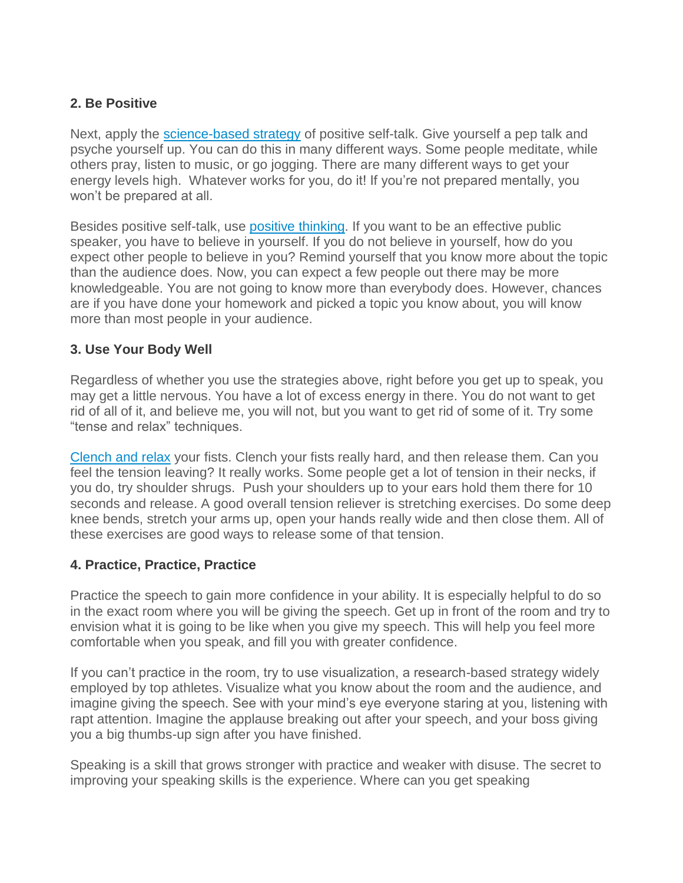# **2. Be Positive**

Next, apply the [science-based strategy](http://www.npr.org/sections/health-shots/2014/10/07/353292408/why-saying-is-believing-the-science-of-self-talk) of positive self-talk. Give yourself a pep talk and psyche yourself up. You can do this in many different ways. Some people meditate, while others pray, listen to music, or go jogging. There are many different ways to get your energy levels high. Whatever works for you, do it! If you're not prepared mentally, you won't be prepared at all.

Besides positive self-talk, use [positive thinking.](http://www.mayoclinic.org/healthy-lifestyle/stress-management/in-depth/positive-thinking/art-20043950) If you want to be an effective public speaker, you have to believe in yourself. If you do not believe in yourself, how do you expect other people to believe in you? Remind yourself that you know more about the topic than the audience does. Now, you can expect a few people out there may be more knowledgeable. You are not going to know more than everybody does. However, chances are if you have done your homework and picked a topic you know about, you will know more than most people in your audience.

## **3. Use Your Body Well**

Regardless of whether you use the strategies above, right before you get up to speak, you may get a little nervous. You have a lot of excess energy in there. You do not want to get rid of all of it, and believe me, you will not, but you want to get rid of some of it. Try some "tense and relax" techniques.

[Clench and relax](http://intentionalinsights.org/7-surprising-science-based-hacks-to-build-your-willpower) your fists. Clench your fists really hard, and then release them. Can you feel the tension leaving? It really works. Some people get a lot of tension in their necks, if you do, try shoulder shrugs. Push your shoulders up to your ears hold them there for 10 seconds and release. A good overall tension reliever is stretching exercises. Do some deep knee bends, stretch your arms up, open your hands really wide and then close them. All of these exercises are good ways to release some of that tension.

## **4. Practice, Practice, Practice**

Practice the speech to gain more confidence in your ability. It is especially helpful to do so in the exact room where you will be giving the speech. Get up in front of the room and try to envision what it is going to be like when you give my speech. This will help you feel more comfortable when you speak, and fill you with greater confidence.

If you can't practice in the room, try to use visualization, a research-based strategy widely employed by top athletes. Visualize what you know about the room and the audience, and imagine giving the speech. See with your mind's eye everyone staring at you, listening with rapt attention. Imagine the applause breaking out after your speech, and your boss giving you a big thumbs-up sign after you have finished.

Speaking is a skill that grows stronger with practice and weaker with disuse. The secret to improving your speaking skills is the experience. Where can you get speaking